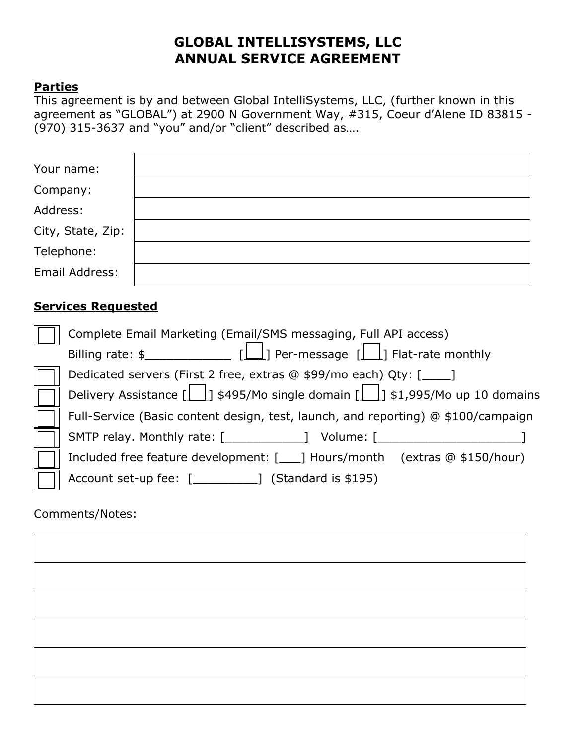# **GLOBAL INTELLISYSTEMS, LLC ANNUAL SERVICE AGREEMENT**

#### **Parties**

This agreement is by and between Global IntelliSystems, LLC, (further known in this agreement as "GLOBAL") at 2900 N Government Way, #315, Coeur d'Alene ID 83815 - (970) 315-3637 and "you" and/or "client" described as….

| Your name:        |  |
|-------------------|--|
| Company:          |  |
| Address:          |  |
| City, State, Zip: |  |
| Telephone:        |  |
| Email Address:    |  |

#### **Services Requested**

| Complete Email Marketing (Email/SMS messaging, Full API access)                         |  |  |
|-----------------------------------------------------------------------------------------|--|--|
| Billing rate: $\frac{1}{2}$ [1] Per-message [1] Flat-rate monthly                       |  |  |
| Dedicated servers (First 2 free, extras @ \$99/mo each) Qty: [____]                     |  |  |
| Delivery Assistance $[\_\_\]$ \$495/Mo single domain $[\_\_\]$ \$1,995/Mo up 10 domains |  |  |
| Full-Service (Basic content design, test, launch, and reporting) @ \$100/campaign       |  |  |
| SMTP relay. Monthly rate: [ <i>___________</i> ] Volume: [ <i>__</i>                    |  |  |
| Included free feature development: [___] Hours/month (extras @ \$150/hour)              |  |  |
| Account set-up fee: [_____________] (Standard is \$195)                                 |  |  |

Comments/Notes:

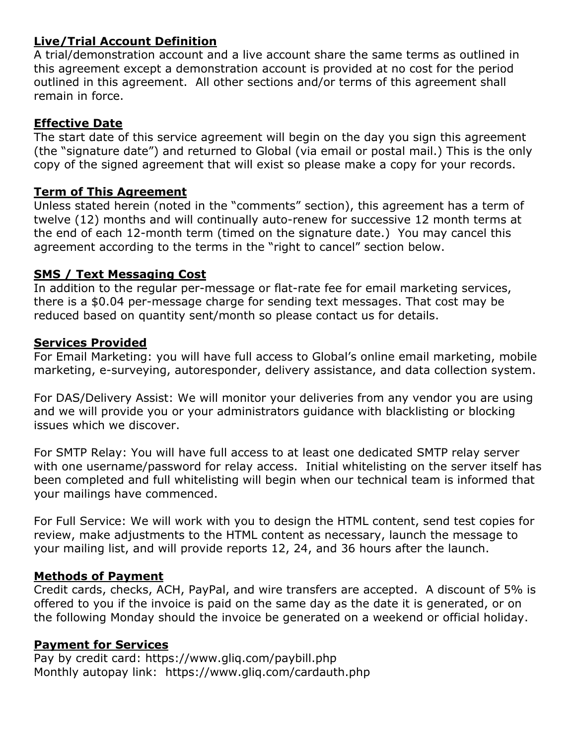# **Live/Trial Account Definition**

A trial/demonstration account and a live account share the same terms as outlined in this agreement except a demonstration account is provided at no cost for the period outlined in this agreement. All other sections and/or terms of this agreement shall remain in force.

### **Effective Date**

The start date of this service agreement will begin on the day you sign this agreement (the "signature date") and returned to Global (via email or postal mail.) This is the only copy of the signed agreement that will exist so please make a copy for your records.

#### **Term of This Agreement**

Unless stated herein (noted in the "comments" section), this agreement has a term of twelve (12) months and will continually auto-renew for successive 12 month terms at the end of each 12-month term (timed on the signature date.) You may cancel this agreement according to the terms in the "right to cancel" section below.

#### **SMS / Text Messaging Cost**

In addition to the regular per-message or flat-rate fee for email marketing services, there is a \$0.04 per-message charge for sending text messages. That cost may be reduced based on quantity sent/month so please contact us for details.

#### **Services Provided**

For Email Marketing: you will have full access to Global's online email marketing, mobile marketing, e-surveying, autoresponder, delivery assistance, and data collection system.

For DAS/Delivery Assist: We will monitor your deliveries from any vendor you are using and we will provide you or your administrators guidance with blacklisting or blocking issues which we discover.

For SMTP Relay: You will have full access to at least one dedicated SMTP relay server with one username/password for relay access. Initial whitelisting on the server itself has been completed and full whitelisting will begin when our technical team is informed that your mailings have commenced.

For Full Service: We will work with you to design the HTML content, send test copies for review, make adjustments to the HTML content as necessary, launch the message to your mailing list, and will provide reports 12, 24, and 36 hours after the launch.

### **Methods of Payment**

Credit cards, checks, ACH, PayPal, and wire transfers are accepted. A discount of 5% is offered to you if the invoice is paid on the same day as the date it is generated, or on the following Monday should the invoice be generated on a weekend or official holiday.

#### **Payment for Services**

Pay by credit card: https://www.gliq.com/paybill.php Monthly autopay link: https://www.gliq.com/cardauth.php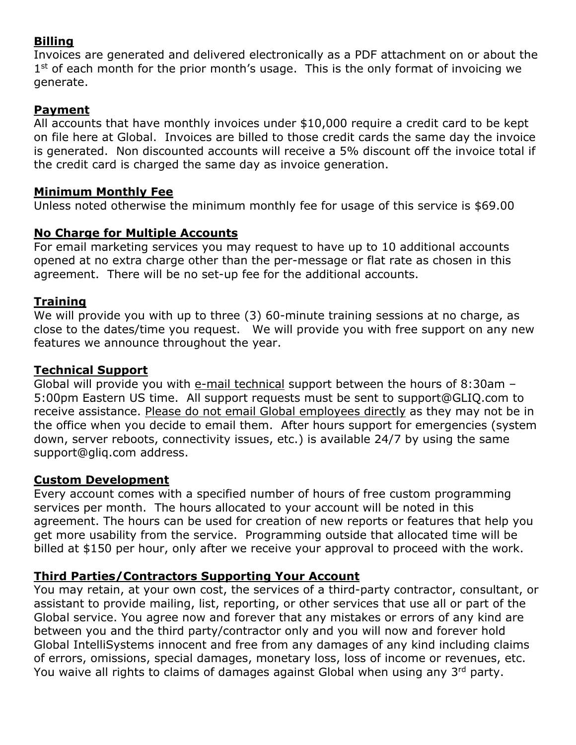## **Billing**

Invoices are generated and delivered electronically as a PDF attachment on or about the  $1<sup>st</sup>$  of each month for the prior month's usage. This is the only format of invoicing we generate.

## **Payment**

All accounts that have monthly invoices under \$10,000 require a credit card to be kept on file here at Global. Invoices are billed to those credit cards the same day the invoice is generated. Non discounted accounts will receive a 5% discount off the invoice total if the credit card is charged the same day as invoice generation.

#### **Minimum Monthly Fee**

Unless noted otherwise the minimum monthly fee for usage of this service is \$69.00

### **No Charge for Multiple Accounts**

For email marketing services you may request to have up to 10 additional accounts opened at no extra charge other than the per-message or flat rate as chosen in this agreement. There will be no set-up fee for the additional accounts.

### **Training**

We will provide you with up to three (3) 60-minute training sessions at no charge, as close to the dates/time you request. We will provide you with free support on any new features we announce throughout the year.

#### **Technical Support**

Global will provide you with e-mail technical support between the hours of 8:30am – 5:00pm Eastern US time. All support requests must be sent to support@GLIQ.com to receive assistance. Please do not email Global employees directly as they may not be in the office when you decide to email them. After hours support for emergencies (system down, server reboots, connectivity issues, etc.) is available 24/7 by using the same support@gliq.com address.

#### **Custom Development**

Every account comes with a specified number of hours of free custom programming services per month. The hours allocated to your account will be noted in this agreement. The hours can be used for creation of new reports or features that help you get more usability from the service. Programming outside that allocated time will be billed at \$150 per hour, only after we receive your approval to proceed with the work.

### **Third Parties/Contractors Supporting Your Account**

You may retain, at your own cost, the services of a third-party contractor, consultant, or assistant to provide mailing, list, reporting, or other services that use all or part of the Global service. You agree now and forever that any mistakes or errors of any kind are between you and the third party/contractor only and you will now and forever hold Global IntelliSystems innocent and free from any damages of any kind including claims of errors, omissions, special damages, monetary loss, loss of income or revenues, etc. You waive all rights to claims of damages against Global when using any 3rd party.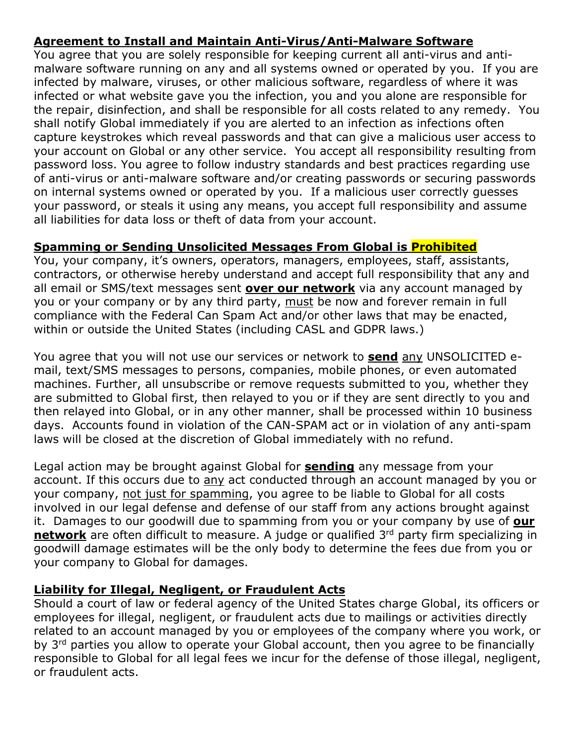# **Agreement to Install and Maintain Anti-Virus/Anti-Malware Software**

You agree that you are solely responsible for keeping current all anti-virus and antimalware software running on any and all systems owned or operated by you. If you are infected by malware, viruses, or other malicious software, regardless of where it was infected or what website gave you the infection, you and you alone are responsible for the repair, disinfection, and shall be responsible for all costs related to any remedy. You shall notify Global immediately if you are alerted to an infection as infections often capture keystrokes which reveal passwords and that can give a malicious user access to your account on Global or any other service. You accept all responsibility resulting from password loss. You agree to follow industry standards and best practices regarding use of anti-virus or anti-malware software and/or creating passwords or securing passwords on internal systems owned or operated by you. If a malicious user correctly guesses your password, or steals it using any means, you accept full responsibility and assume all liabilities for data loss or theft of data from your account.

# **Spamming or Sending Unsolicited Messages From Global is Prohibited**

You, your company, it's owners, operators, managers, employees, staff, assistants, contractors, or otherwise hereby understand and accept full responsibility that any and all email or SMS/text messages sent **over our network** via any account managed by you or your company or by any third party, must be now and forever remain in full compliance with the Federal Can Spam Act and/or other laws that may be enacted, within or outside the United States (including CASL and GDPR laws.)

You agree that you will not use our services or network to **send** any UNSOLICITED email, text/SMS messages to persons, companies, mobile phones, or even automated machines. Further, all unsubscribe or remove requests submitted to you, whether they are submitted to Global first, then relayed to you or if they are sent directly to you and then relayed into Global, or in any other manner, shall be processed within 10 business days. Accounts found in violation of the CAN-SPAM act or in violation of any anti-spam laws will be closed at the discretion of Global immediately with no refund.

Legal action may be brought against Global for **sending** any message from your account. If this occurs due to any act conducted through an account managed by you or your company, not just for spamming, you agree to be liable to Global for all costs involved in our legal defense and defense of our staff from any actions brought against it. Damages to our goodwill due to spamming from you or your company by use of **our network** are often difficult to measure. A judge or qualified 3<sup>rd</sup> party firm specializing in goodwill damage estimates will be the only body to determine the fees due from you or your company to Global for damages.

### **Liability for Illegal, Negligent, or Fraudulent Acts**

Should a court of law or federal agency of the United States charge Global, its officers or employees for illegal, negligent, or fraudulent acts due to mailings or activities directly related to an account managed by you or employees of the company where you work, or by 3<sup>rd</sup> parties you allow to operate your Global account, then you agree to be financially responsible to Global for all legal fees we incur for the defense of those illegal, negligent, or fraudulent acts.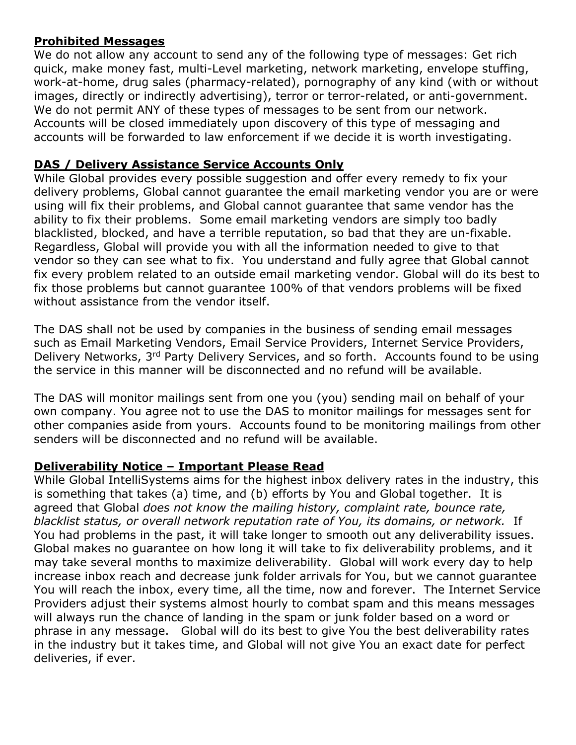### **Prohibited Messages**

We do not allow any account to send any of the following type of messages: Get rich quick, make money fast, multi-Level marketing, network marketing, envelope stuffing, work-at-home, drug sales (pharmacy-related), pornography of any kind (with or without images, directly or indirectly advertising), terror or terror-related, or anti-government. We do not permit ANY of these types of messages to be sent from our network. Accounts will be closed immediately upon discovery of this type of messaging and accounts will be forwarded to law enforcement if we decide it is worth investigating.

### **DAS / Delivery Assistance Service Accounts Only**

While Global provides every possible suggestion and offer every remedy to fix your delivery problems, Global cannot guarantee the email marketing vendor you are or were using will fix their problems, and Global cannot guarantee that same vendor has the ability to fix their problems. Some email marketing vendors are simply too badly blacklisted, blocked, and have a terrible reputation, so bad that they are un-fixable. Regardless, Global will provide you with all the information needed to give to that vendor so they can see what to fix. You understand and fully agree that Global cannot fix every problem related to an outside email marketing vendor. Global will do its best to fix those problems but cannot guarantee 100% of that vendors problems will be fixed without assistance from the vendor itself.

The DAS shall not be used by companies in the business of sending email messages such as Email Marketing Vendors, Email Service Providers, Internet Service Providers, Delivery Networks, 3<sup>rd</sup> Party Delivery Services, and so forth. Accounts found to be using the service in this manner will be disconnected and no refund will be available.

The DAS will monitor mailings sent from one you (you) sending mail on behalf of your own company. You agree not to use the DAS to monitor mailings for messages sent for other companies aside from yours. Accounts found to be monitoring mailings from other senders will be disconnected and no refund will be available.

#### **Deliverability Notice – Important Please Read**

While Global IntelliSystems aims for the highest inbox delivery rates in the industry, this is something that takes (a) time, and (b) efforts by You and Global together. It is agreed that Global *does not know the mailing history, complaint rate, bounce rate, blacklist status, or overall network reputation rate of You, its domains, or network.* If You had problems in the past, it will take longer to smooth out any deliverability issues. Global makes no guarantee on how long it will take to fix deliverability problems, and it may take several months to maximize deliverability. Global will work every day to help increase inbox reach and decrease junk folder arrivals for You, but we cannot guarantee You will reach the inbox, every time, all the time, now and forever. The Internet Service Providers adjust their systems almost hourly to combat spam and this means messages will always run the chance of landing in the spam or junk folder based on a word or phrase in any message. Global will do its best to give You the best deliverability rates in the industry but it takes time, and Global will not give You an exact date for perfect deliveries, if ever.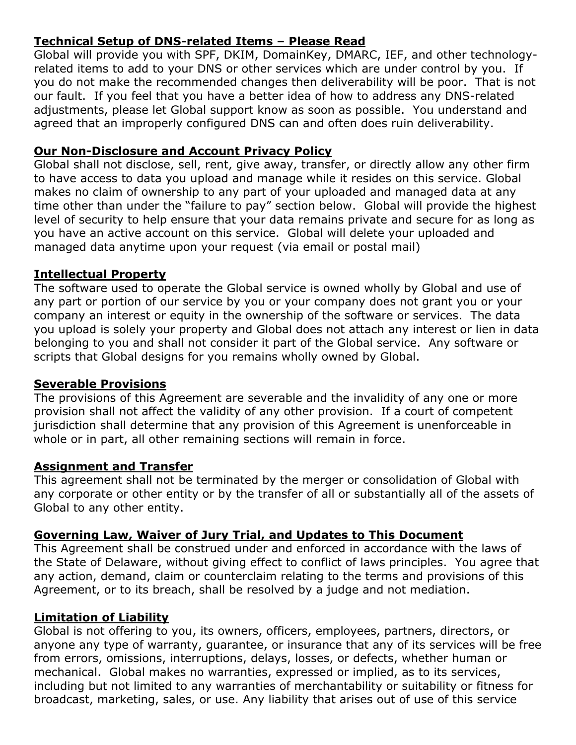# **Technical Setup of DNS-related Items – Please Read**

Global will provide you with SPF, DKIM, DomainKey, DMARC, IEF, and other technologyrelated items to add to your DNS or other services which are under control by you. If you do not make the recommended changes then deliverability will be poor. That is not our fault. If you feel that you have a better idea of how to address any DNS-related adjustments, please let Global support know as soon as possible. You understand and agreed that an improperly configured DNS can and often does ruin deliverability.

### **Our Non-Disclosure and Account Privacy Policy**

Global shall not disclose, sell, rent, give away, transfer, or directly allow any other firm to have access to data you upload and manage while it resides on this service. Global makes no claim of ownership to any part of your uploaded and managed data at any time other than under the "failure to pay" section below. Global will provide the highest level of security to help ensure that your data remains private and secure for as long as you have an active account on this service. Global will delete your uploaded and managed data anytime upon your request (via email or postal mail)

#### **Intellectual Property**

The software used to operate the Global service is owned wholly by Global and use of any part or portion of our service by you or your company does not grant you or your company an interest or equity in the ownership of the software or services. The data you upload is solely your property and Global does not attach any interest or lien in data belonging to you and shall not consider it part of the Global service. Any software or scripts that Global designs for you remains wholly owned by Global.

#### **Severable Provisions**

The provisions of this Agreement are severable and the invalidity of any one or more provision shall not affect the validity of any other provision. If a court of competent jurisdiction shall determine that any provision of this Agreement is unenforceable in whole or in part, all other remaining sections will remain in force.

#### **Assignment and Transfer**

This agreement shall not be terminated by the merger or consolidation of Global with any corporate or other entity or by the transfer of all or substantially all of the assets of Global to any other entity.

### **Governing Law, Waiver of Jury Trial, and Updates to This Document**

This Agreement shall be construed under and enforced in accordance with the laws of the State of Delaware, without giving effect to conflict of laws principles. You agree that any action, demand, claim or counterclaim relating to the terms and provisions of this Agreement, or to its breach, shall be resolved by a judge and not mediation.

### **Limitation of Liability**

Global is not offering to you, its owners, officers, employees, partners, directors, or anyone any type of warranty, guarantee, or insurance that any of its services will be free from errors, omissions, interruptions, delays, losses, or defects, whether human or mechanical. Global makes no warranties, expressed or implied, as to its services, including but not limited to any warranties of merchantability or suitability or fitness for broadcast, marketing, sales, or use. Any liability that arises out of use of this service